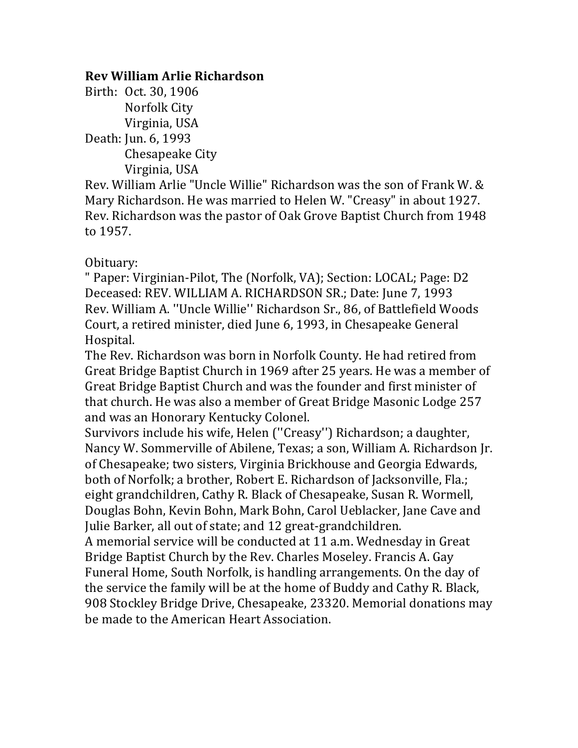## **Rev William Arlie Richardson**

Birth: Oct. 30, 1906 Norfolk City Virginia, USA Death: Jun. 6, 1993 Chesapeake City Virginia, USA

Rev. William Arlie "Uncle Willie" Richardson was the son of Frank W. & Mary Richardson. He was married to Helen W. "Creasy" in about 1927. Rev. Richardson was the pastor of Oak Grove Baptist Church from 1948 to 1957.

Obituary:

" Paper: Virginian-Pilot, The (Norfolk, VA); Section: LOCAL; Page: D2 Deceased: REV. WILLIAM A. RICHARDSON SR.; Date: June 7, 1993 Rev. William A. "Uncle Willie" Richardson Sr., 86, of Battlefield Woods Court, a retired minister, died June 6, 1993, in Chesapeake General Hospital.

The Rev. Richardson was born in Norfolk County. He had retired from Great Bridge Baptist Church in 1969 after 25 years. He was a member of Great Bridge Baptist Church and was the founder and first minister of that church. He was also a member of Great Bridge Masonic Lodge 257 and was an Honorary Kentucky Colonel.

Survivors include his wife, Helen ("Creasy") Richardson; a daughter, Nancy W. Sommerville of Abilene, Texas; a son, William A. Richardson Jr. of Chesapeake; two sisters, Virginia Brickhouse and Georgia Edwards, both of Norfolk; a brother, Robert E. Richardson of Jacksonville, Fla.; eight grandchildren, Cathy R. Black of Chesapeake, Susan R. Wormell, Douglas Bohn, Kevin Bohn, Mark Bohn, Carol Ueblacker, Jane Cave and Julie Barker, all out of state; and 12 great-grandchildren.

A memorial service will be conducted at 11 a.m. Wednesday in Great Bridge Baptist Church by the Rev. Charles Moseley. Francis A. Gay Funeral Home, South Norfolk, is handling arrangements. On the day of the service the family will be at the home of Buddy and Cathy R. Black, 908 Stockley Bridge Drive, Chesapeake, 23320. Memorial donations may be made to the American Heart Association.